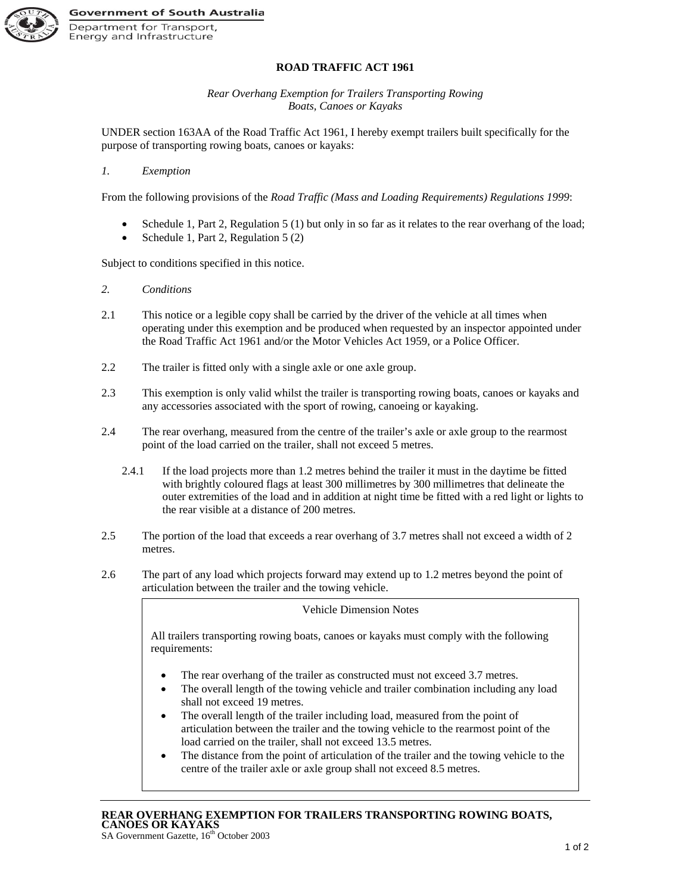

## **ROAD TRAFFIC ACT 1961**

*Rear Overhang Exemption for Trailers Transporting Rowing Boats, Canoes or Kayaks*

UNDER section 163AA of the Road Traffic Act 1961, I hereby exempt trailers built specifically for the purpose of transporting rowing boats, canoes or kayaks:

## *1. Exemption*

From the following provisions of the *Road Traffic (Mass and Loading Requirements) Regulations 1999*:

- Schedule 1, Part 2, Regulation 5 (1) but only in so far as it relates to the rear overhang of the load;
- Schedule 1, Part 2, Regulation 5 (2)

Subject to conditions specified in this notice.

- *2. Conditions*
- 2.1 This notice or a legible copy shall be carried by the driver of the vehicle at all times when operating under this exemption and be produced when requested by an inspector appointed under the Road Traffic Act 1961 and/or the Motor Vehicles Act 1959, or a Police Officer.
- 2.2 The trailer is fitted only with a single axle or one axle group.
- 2.3 This exemption is only valid whilst the trailer is transporting rowing boats, canoes or kayaks and any accessories associated with the sport of rowing, canoeing or kayaking.
- 2.4 The rear overhang, measured from the centre of the trailer's axle or axle group to the rearmost point of the load carried on the trailer, shall not exceed 5 metres.
	- 2.4.1 If the load projects more than 1.2 metres behind the trailer it must in the daytime be fitted with brightly coloured flags at least 300 millimetres by 300 millimetres that delineate the outer extremities of the load and in addition at night time be fitted with a red light or lights to the rear visible at a distance of 200 metres.
- 2.5 The portion of the load that exceeds a rear overhang of 3.7 metres shall not exceed a width of 2 metres.
- 2.6 The part of any load which projects forward may extend up to 1.2 metres beyond the point of articulation between the trailer and the towing vehicle.

## Vehicle Dimension Notes

All trailers transporting rowing boats, canoes or kayaks must comply with the following requirements:

- The rear overhang of the trailer as constructed must not exceed 3.7 metres.
- The overall length of the towing vehicle and trailer combination including any load shall not exceed 19 metres.
- The overall length of the trailer including load, measured from the point of articulation between the trailer and the towing vehicle to the rearmost point of the load carried on the trailer, shall not exceed 13.5 metres.
- The distance from the point of articulation of the trailer and the towing vehicle to the centre of the trailer axle or axle group shall not exceed 8.5 metres.